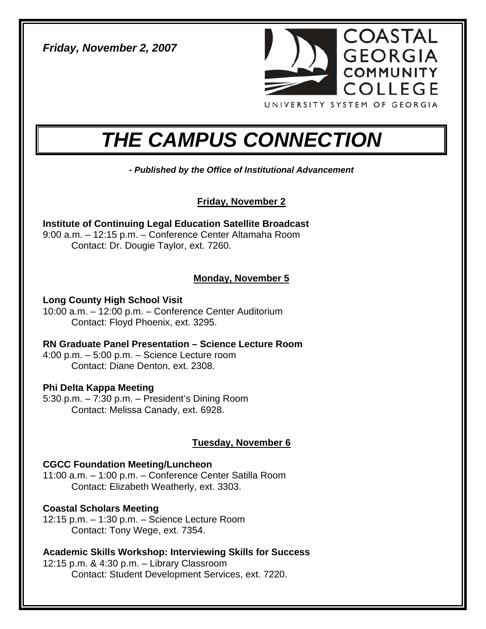*Friday, November 2, 2007* 



# *THE CAMPUS CONNECTION*

*- Published by the Office of Institutional Advancement* 

**Friday, November 2**

**Institute of Continuing Legal Education Satellite Broadcast**  9:00 a.m. – 12:15 p.m. – Conference Center Altamaha Room Contact: Dr. Dougie Taylor, ext. 7260.

## **Monday, November 5**

**Long County High School Visit**  10:00 a.m. – 12:00 p.m. – Conference Center Auditorium Contact: Floyd Phoenix, ext. 3295.

**RN Graduate Panel Presentation – Science Lecture Room**  4:00 p.m. – 5:00 p.m. – Science Lecture room Contact: Diane Denton, ext. 2308.

#### **Phi Delta Kappa Meeting**  5:30 p.m. – 7:30 p.m. – President's Dining Room Contact: Melissa Canady, ext. 6928.

## **Tuesday, November 6**

## **CGCC Foundation Meeting/Luncheon**

11:00 a.m. – 1:00 p.m. – Conference Center Satilla Room Contact: Elizabeth Weatherly, ext. 3303.

## **Coastal Scholars Meeting**

12:15 p.m. – 1:30 p.m. – Science Lecture Room Contact: Tony Wege, ext. 7354.

**Academic Skills Workshop: Interviewing Skills for Success** 

12:15 p.m. & 4:30 p.m. – Library Classroom Contact: Student Development Services, ext. 7220.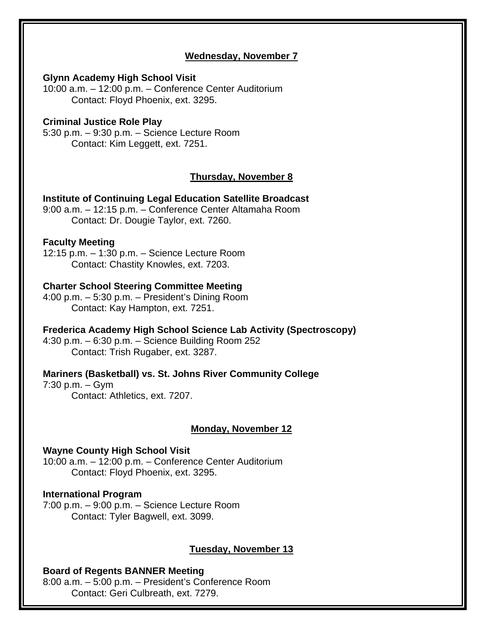## **Wednesday, November 7**

#### **Glynn Academy High School Visit**

10:00 a.m. – 12:00 p.m. – Conference Center Auditorium Contact: Floyd Phoenix, ext. 3295.

#### **Criminal Justice Role Play**

5:30 p.m. – 9:30 p.m. – Science Lecture Room Contact: Kim Leggett, ext. 7251.

## **Thursday, November 8**

#### **Institute of Continuing Legal Education Satellite Broadcast**

9:00 a.m. – 12:15 p.m. – Conference Center Altamaha Room Contact: Dr. Dougie Taylor, ext. 7260.

#### **Faculty Meeting**

12:15 p.m. – 1:30 p.m. – Science Lecture Room Contact: Chastity Knowles, ext. 7203.

#### **Charter School Steering Committee Meeting**

4:00 p.m. – 5:30 p.m. – President's Dining Room Contact: Kay Hampton, ext. 7251.

#### **Frederica Academy High School Science Lab Activity (Spectroscopy)**

4:30 p.m. – 6:30 p.m. – Science Building Room 252 Contact: Trish Rugaber, ext. 3287.

#### **Mariners (Basketball) vs. St. Johns River Community College**

7:30 p.m. – Gym Contact: Athletics, ext. 7207.

#### **Monday, November 12**

#### **Wayne County High School Visit**

10:00 a.m. – 12:00 p.m. – Conference Center Auditorium Contact: Floyd Phoenix, ext. 3295.

#### **International Program**

7:00 p.m. – 9:00 p.m. – Science Lecture Room Contact: Tyler Bagwell, ext. 3099.

#### **Tuesday, November 13**

#### **Board of Regents BANNER Meeting**

8:00 a.m. – 5:00 p.m. – President's Conference Room Contact: Geri Culbreath, ext. 7279.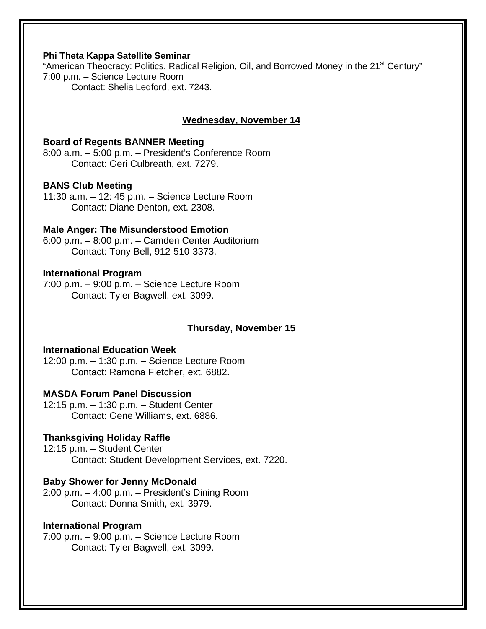#### **Phi Theta Kappa Satellite Seminar**

"American Theocracy: Politics, Radical Religion, Oil, and Borrowed Money in the 21<sup>st</sup> Century" 7:00 p.m. – Science Lecture Room Contact: Shelia Ledford, ext. 7243.

## **Wednesday, November 14**

#### **Board of Regents BANNER Meeting**

8:00 a.m. – 5:00 p.m. – President's Conference Room Contact: Geri Culbreath, ext. 7279.

#### **BANS Club Meeting**

11:30 a.m. – 12: 45 p.m. – Science Lecture Room Contact: Diane Denton, ext. 2308.

#### **Male Anger: The Misunderstood Emotion**

6:00 p.m. – 8:00 p.m. – Camden Center Auditorium Contact: Tony Bell, 912-510-3373.

#### **International Program**

7:00 p.m. – 9:00 p.m. – Science Lecture Room Contact: Tyler Bagwell, ext. 3099.

## **Thursday, November 15**

## **International Education Week**

12:00 p.m. – 1:30 p.m. – Science Lecture Room Contact: Ramona Fletcher, ext. 6882.

## **MASDA Forum Panel Discussion**

12:15 p.m. – 1:30 p.m. – Student Center Contact: Gene Williams, ext. 6886.

#### **Thanksgiving Holiday Raffle**

12:15 p.m. – Student Center Contact: Student Development Services, ext. 7220.

#### **Baby Shower for Jenny McDonald**

2:00 p.m. – 4:00 p.m. – President's Dining Room Contact: Donna Smith, ext. 3979.

#### **International Program**

7:00 p.m. – 9:00 p.m. – Science Lecture Room Contact: Tyler Bagwell, ext. 3099.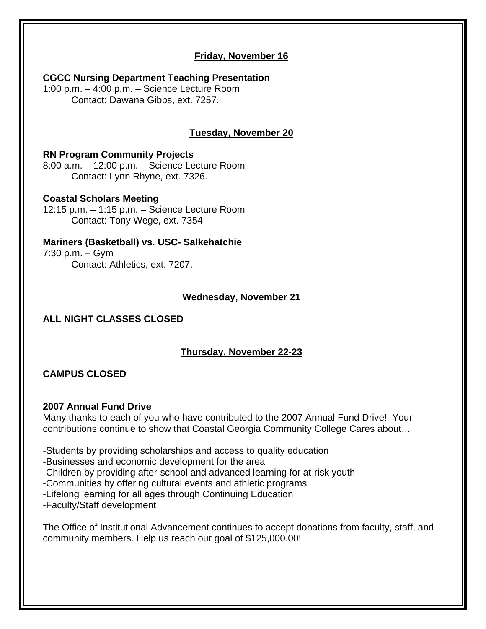## **Friday, November 16**

**CGCC Nursing Department Teaching Presentation**  1:00 p.m. – 4:00 p.m. – Science Lecture Room Contact: Dawana Gibbs, ext. 7257.

## **Tuesday, November 20**

## **RN Program Community Projects**

8:00 a.m. – 12:00 p.m. – Science Lecture Room Contact: Lynn Rhyne, ext. 7326.

#### **Coastal Scholars Meeting**

12:15 p.m. – 1:15 p.m. – Science Lecture Room Contact: Tony Wege, ext. 7354

## **Mariners (Basketball) vs. USC- Salkehatchie**

7:30 p.m. – Gym Contact: Athletics, ext. 7207.

## **Wednesday, November 21**

## **ALL NIGHT CLASSES CLOSED**

## **Thursday, November 22-23**

## **CAMPUS CLOSED**

#### **2007 Annual Fund Drive**

Many thanks to each of you who have contributed to the 2007 Annual Fund Drive! Your contributions continue to show that Coastal Georgia Community College Cares about…

-Students by providing scholarships and access to quality education

-Businesses and economic development for the area

-Children by providing after-school and advanced learning for at-risk youth

-Communities by offering cultural events and athletic programs

-Lifelong learning for all ages through Continuing Education

-Faculty/Staff development

The Office of Institutional Advancement continues to accept donations from faculty, staff, and community members. Help us reach our goal of \$125,000.00!